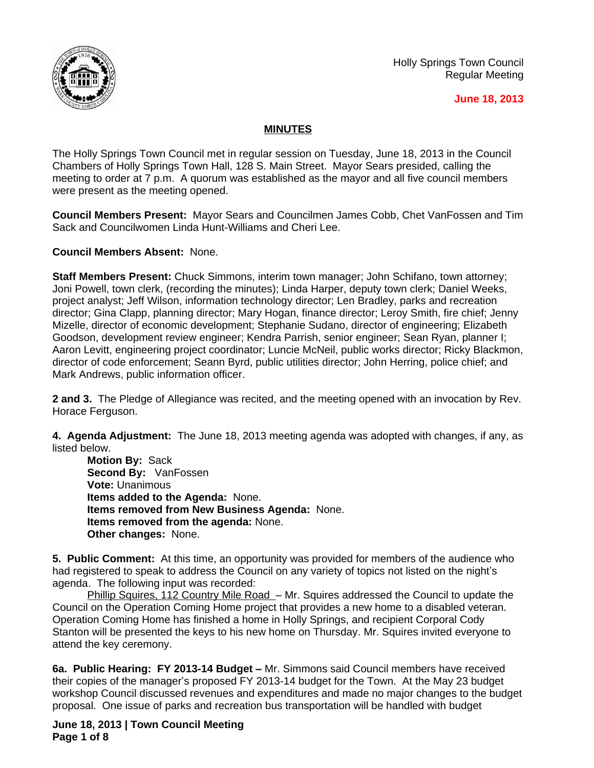

Holly Springs Town Council Regular Meeting

## **June 18, 2013**

## **MINUTES**

The Holly Springs Town Council met in regular session on Tuesday, June 18, 2013 in the Council Chambers of Holly Springs Town Hall, 128 S. Main Street. Mayor Sears presided, calling the meeting to order at 7 p.m. A quorum was established as the mayor and all five council members were present as the meeting opened.

**Council Members Present:** Mayor Sears and Councilmen James Cobb, Chet VanFossen and Tim Sack and Councilwomen Linda Hunt-Williams and Cheri Lee.

**Council Members Absent:** None.

**Staff Members Present:** Chuck Simmons, interim town manager; John Schifano, town attorney; Joni Powell, town clerk, (recording the minutes); Linda Harper, deputy town clerk; Daniel Weeks, project analyst; Jeff Wilson, information technology director; Len Bradley, parks and recreation director; Gina Clapp, planning director; Mary Hogan, finance director; Leroy Smith, fire chief; Jenny Mizelle, director of economic development; Stephanie Sudano, director of engineering; Elizabeth Goodson, development review engineer; Kendra Parrish, senior engineer; Sean Ryan, planner I; Aaron Levitt, engineering project coordinator; Luncie McNeil, public works director; Ricky Blackmon, director of code enforcement; Seann Byrd, public utilities director; John Herring, police chief; and Mark Andrews, public information officer.

**2 and 3.** The Pledge of Allegiance was recited, and the meeting opened with an invocation by Rev. Horace Ferguson.

**4. Agenda Adjustment:** The June 18, 2013 meeting agenda was adopted with changes, if any, as listed below.

**Motion By:** Sack **Second By:** VanFossen **Vote:** Unanimous **Items added to the Agenda:** None. **Items removed from New Business Agenda:** None. **Items removed from the agenda:** None. **Other changes:** None.

**5. Public Comment:** At this time, an opportunity was provided for members of the audience who had registered to speak to address the Council on any variety of topics not listed on the night's agenda. The following input was recorded:

Phillip Squires, 112 Country Mile Road – Mr. Squires addressed the Council to update the Council on the Operation Coming Home project that provides a new home to a disabled veteran. Operation Coming Home has finished a home in Holly Springs, and recipient Corporal Cody Stanton will be presented the keys to his new home on Thursday. Mr. Squires invited everyone to attend the key ceremony.

**6a. Public Hearing: FY 2013-14 Budget - Mr. Simmons said Council members have received** their copies of the manager's proposed FY 2013-14 budget for the Town. At the May 23 budget workshop Council discussed revenues and expenditures and made no major changes to the budget proposal. One issue of parks and recreation bus transportation will be handled with budget

**June 18, 2013 | Town Council Meeting Page 1 of 8**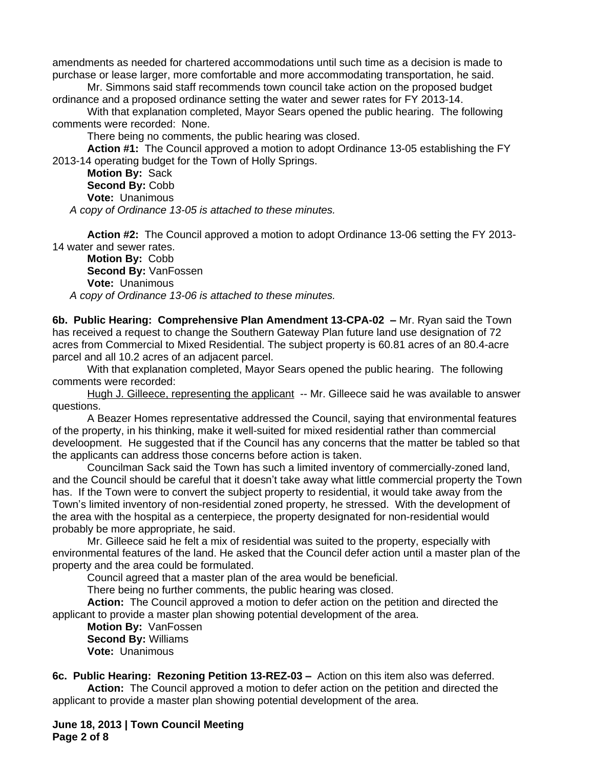amendments as needed for chartered accommodations until such time as a decision is made to purchase or lease larger, more comfortable and more accommodating transportation, he said.

Mr. Simmons said staff recommends town council take action on the proposed budget ordinance and a proposed ordinance setting the water and sewer rates for FY 2013-14.

With that explanation completed, Mayor Sears opened the public hearing. The following comments were recorded: None.

There being no comments, the public hearing was closed.

**Action #1:** The Council approved a motion to adopt Ordinance 13-05 establishing the FY 2013-14 operating budget for the Town of Holly Springs.

**Motion By:** Sack **Second By:** Cobb **Vote:** Unanimous *A copy of Ordinance 13-05 is attached to these minutes.*

**Action #2:** The Council approved a motion to adopt Ordinance 13-06 setting the FY 2013- 14 water and sewer rates.

**Motion By:** Cobb **Second By:** VanFossen **Vote:** Unanimous *A copy of Ordinance 13-06 is attached to these minutes.*

**6b. Public Hearing: Comprehensive Plan Amendment 13-CPA-02 –** Mr. Ryan said the Town has received a request to change the Southern Gateway Plan future land use designation of 72 acres from Commercial to Mixed Residential. The subject property is 60.81 acres of an 80.4-acre parcel and all 10.2 acres of an adjacent parcel.

With that explanation completed, Mayor Sears opened the public hearing. The following comments were recorded:

Hugh J. Gilleece, representing the applicant -- Mr. Gilleece said he was available to answer questions.

A Beazer Homes representative addressed the Council, saying that environmental features of the property, in his thinking, make it well-suited for mixed residential rather than commercial develoopment. He suggested that if the Council has any concerns that the matter be tabled so that the applicants can address those concerns before action is taken.

Councilman Sack said the Town has such a limited inventory of commercially-zoned land, and the Council should be careful that it doesn't take away what little commercial property the Town has. If the Town were to convert the subject property to residential, it would take away from the Town's limited inventory of non-residential zoned property, he stressed. With the development of the area with the hospital as a centerpiece, the property designated for non-residential would probably be more appropriate, he said.

Mr. Gilleece said he felt a mix of residential was suited to the property, especially with environmental features of the land. He asked that the Council defer action until a master plan of the property and the area could be formulated.

Council agreed that a master plan of the area would be beneficial.

There being no further comments, the public hearing was closed.

**Action:** The Council approved a motion to defer action on the petition and directed the applicant to provide a master plan showing potential development of the area.

**Motion By:** VanFossen **Second By:** Williams **Vote:** Unanimous

**6c. Public Hearing: Rezoning Petition 13-REZ-03 –** Action on this item also was deferred. **Action:** The Council approved a motion to defer action on the petition and directed the applicant to provide a master plan showing potential development of the area.

**June 18, 2013 | Town Council Meeting Page 2 of 8**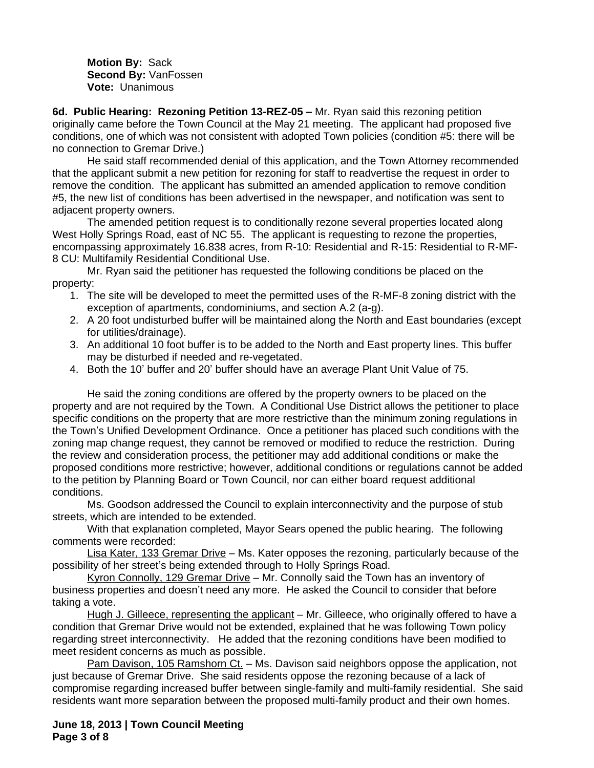**Motion By:** Sack **Second By:** VanFossen **Vote:** Unanimous

**6d. Public Hearing: Rezoning Petition 13-REZ-05 – Mr. Ryan said this rezoning petition** originally came before the Town Council at the May 21 meeting. The applicant had proposed five conditions, one of which was not consistent with adopted Town policies (condition #5: there will be no connection to Gremar Drive.)

He said staff recommended denial of this application, and the Town Attorney recommended that the applicant submit a new petition for rezoning for staff to readvertise the request in order to remove the condition. The applicant has submitted an amended application to remove condition #5, the new list of conditions has been advertised in the newspaper, and notification was sent to adjacent property owners.

The amended petition request is to conditionally rezone several properties located along West Holly Springs Road, east of NC 55. The applicant is requesting to rezone the properties, encompassing approximately 16.838 acres, from R-10: Residential and R-15: Residential to R-MF-8 CU: Multifamily Residential Conditional Use.

Mr. Ryan said the petitioner has requested the following conditions be placed on the property:

- 1. The site will be developed to meet the permitted uses of the R-MF-8 zoning district with the exception of apartments, condominiums, and section A.2 (a-g).
- 2. A 20 foot undisturbed buffer will be maintained along the North and East boundaries (except for utilities/drainage).
- 3. An additional 10 foot buffer is to be added to the North and East property lines. This buffer may be disturbed if needed and re-vegetated.
- 4. Both the 10' buffer and 20' buffer should have an average Plant Unit Value of 75.

He said the zoning conditions are offered by the property owners to be placed on the property and are not required by the Town. A Conditional Use District allows the petitioner to place specific conditions on the property that are more restrictive than the minimum zoning regulations in the Town's Unified Development Ordinance. Once a petitioner has placed such conditions with the zoning map change request, they cannot be removed or modified to reduce the restriction. During the review and consideration process, the petitioner may add additional conditions or make the proposed conditions more restrictive; however, additional conditions or regulations cannot be added to the petition by Planning Board or Town Council, nor can either board request additional conditions.

Ms. Goodson addressed the Council to explain interconnectivity and the purpose of stub streets, which are intended to be extended.

With that explanation completed, Mayor Sears opened the public hearing. The following comments were recorded:

Lisa Kater, 133 Gremar Drive – Ms. Kater opposes the rezoning, particularly because of the possibility of her street's being extended through to Holly Springs Road.

Kyron Connolly, 129 Gremar Drive – Mr. Connolly said the Town has an inventory of business properties and doesn't need any more. He asked the Council to consider that before taking a vote.

Hugh J. Gilleece, representing the applicant - Mr. Gilleece, who originally offered to have a condition that Gremar Drive would not be extended, explained that he was following Town policy regarding street interconnectivity. He added that the rezoning conditions have been modified to meet resident concerns as much as possible.

Pam Davison, 105 Ramshorn Ct. – Ms. Davison said neighbors oppose the application, not just because of Gremar Drive. She said residents oppose the rezoning because of a lack of compromise regarding increased buffer between single-family and multi-family residential. She said residents want more separation between the proposed multi-family product and their own homes.

**June 18, 2013 | Town Council Meeting Page 3 of 8**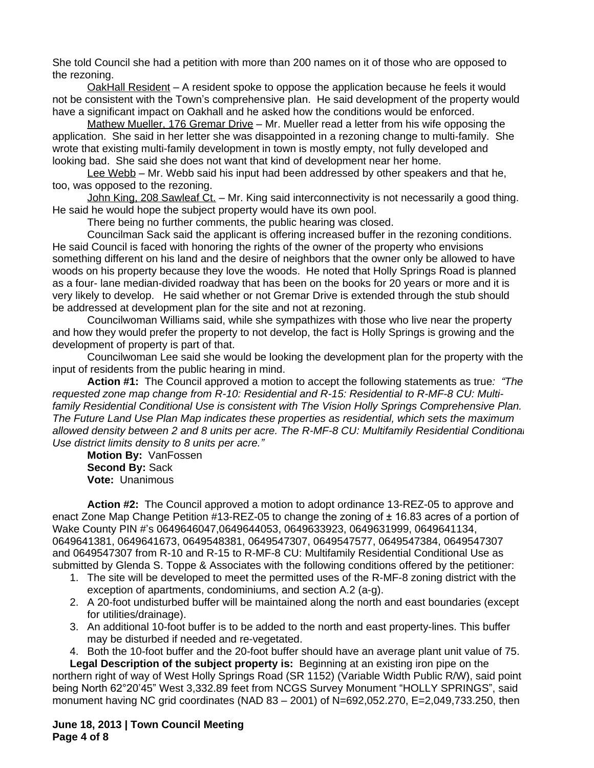She told Council she had a petition with more than 200 names on it of those who are opposed to the rezoning.

OakHall Resident – A resident spoke to oppose the application because he feels it would not be consistent with the Town's comprehensive plan. He said development of the property would have a significant impact on Oakhall and he asked how the conditions would be enforced.

Mathew Mueller, 176 Gremar Drive – Mr. Mueller read a letter from his wife opposing the application. She said in her letter she was disappointed in a rezoning change to multi-family. She wrote that existing multi-family development in town is mostly empty, not fully developed and looking bad. She said she does not want that kind of development near her home.

Lee Webb – Mr. Webb said his input had been addressed by other speakers and that he, too, was opposed to the rezoning.

John King, 208 Sawleaf Ct. - Mr. King said interconnectivity is not necessarily a good thing. He said he would hope the subject property would have its own pool.

There being no further comments, the public hearing was closed.

Councilman Sack said the applicant is offering increased buffer in the rezoning conditions. He said Council is faced with honoring the rights of the owner of the property who envisions something different on his land and the desire of neighbors that the owner only be allowed to have woods on his property because they love the woods. He noted that Holly Springs Road is planned as a four- lane median-divided roadway that has been on the books for 20 years or more and it is very likely to develop. He said whether or not Gremar Drive is extended through the stub should be addressed at development plan for the site and not at rezoning.

Councilwoman Williams said, while she sympathizes with those who live near the property and how they would prefer the property to not develop, the fact is Holly Springs is growing and the development of property is part of that.

Councilwoman Lee said she would be looking the development plan for the property with the input of residents from the public hearing in mind.

**Action #1:** The Council approved a motion to accept the following statements as true*: "The requested zone map change from R-10: Residential and R-15: Residential to R-MF-8 CU: Multifamily Residential Conditional Use is consistent with The Vision Holly Springs Comprehensive Plan. The Future Land Use Plan Map indicates these properties as residential, which sets the maximum allowed density between 2 and 8 units per acre. The R-MF-8 CU: Multifamily Residential Conditional Use district limits density to 8 units per acre."*

**Motion By:** VanFossen **Second By:** Sack **Vote:** Unanimous

**Action #2:** The Council approved a motion to adopt ordinance 13-REZ-05 to approve and enact Zone Map Change Petition #13-REZ-05 to change the zoning of ± 16.83 acres of a portion of Wake County PIN #'s 0649646047,0649644053, 0649633923, 0649631999, 0649641134, 0649641381, 0649641673, 0649548381, 0649547307, 0649547577, 0649547384, 0649547307 and 0649547307 from R-10 and R-15 to R-MF-8 CU: Multifamily Residential Conditional Use as submitted by Glenda S. Toppe & Associates with the following conditions offered by the petitioner:

- 1. The site will be developed to meet the permitted uses of the R-MF-8 zoning district with the exception of apartments, condominiums, and section A.2 (a-g).
- 2. A 20-foot undisturbed buffer will be maintained along the north and east boundaries (except for utilities/drainage).
- 3. An additional 10-foot buffer is to be added to the north and east property-lines. This buffer may be disturbed if needed and re-vegetated.
- 4. Both the 10-foot buffer and the 20-foot buffer should have an average plant unit value of 75.

**Legal Description of the subject property is:** Beginning at an existing iron pipe on the northern right of way of West Holly Springs Road (SR 1152) (Variable Width Public R/W), said point being North 62°20'45" West 3,332.89 feet from NCGS Survey Monument "HOLLY SPRINGS", said monument having NC grid coordinates (NAD 83 – 2001) of N=692,052.270, E=2,049,733.250, then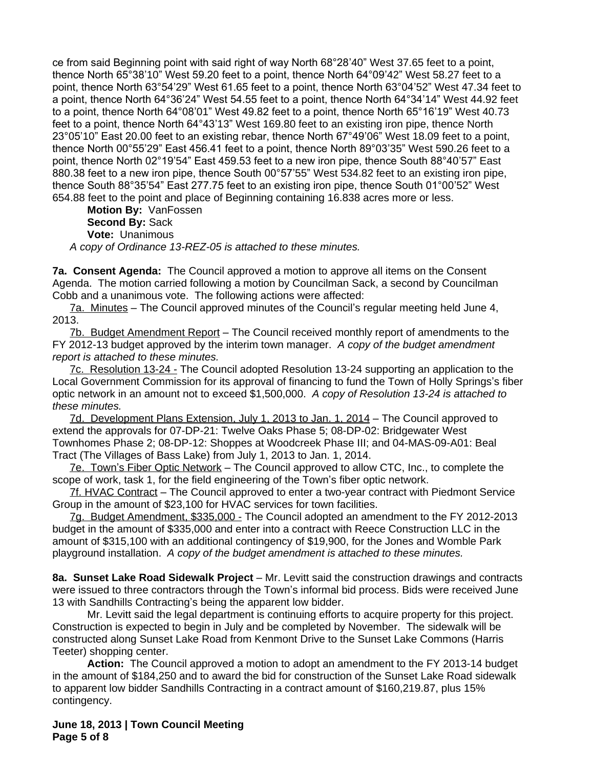ce from said Beginning point with said right of way North 68°28'40" West 37.65 feet to a point, thence North 65°38'10" West 59.20 feet to a point, thence North 64°09'42" West 58.27 feet to a point, thence North 63°54'29" West 61.65 feet to a point, thence North 63°04'52" West 47.34 feet to a point, thence North 64°36'24" West 54.55 feet to a point, thence North 64°34'14" West 44.92 feet to a point, thence North 64°08'01" West 49.82 feet to a point, thence North 65°16'19" West 40.73 feet to a point, thence North 64°43'13" West 169.80 feet to an existing iron pipe, thence North 23°05'10" East 20.00 feet to an existing rebar, thence North 67°49'06" West 18.09 feet to a point, thence North 00°55'29" East 456.41 feet to a point, thence North 89°03'35" West 590.26 feet to a point, thence North 02°19'54" East 459.53 feet to a new iron pipe, thence South 88°40'57" East 880.38 feet to a new iron pipe, thence South 00°57'55" West 534.82 feet to an existing iron pipe, thence South 88°35'54" East 277.75 feet to an existing iron pipe, thence South 01°00'52" West 654.88 feet to the point and place of Beginning containing 16.838 acres more or less.

**Motion By:** VanFossen **Second By:** Sack **Vote:** Unanimous *A copy of Ordinance 13-REZ-05 is attached to these minutes.*

**7a. Consent Agenda:** The Council approved a motion to approve all items on the Consent Agenda. The motion carried following a motion by Councilman Sack, a second by Councilman Cobb and a unanimous vote. The following actions were affected:

7a. Minutes – The Council approved minutes of the Council's regular meeting held June 4, 2013.

7b. Budget Amendment Report – The Council received monthly report of amendments to the FY 2012-13 budget approved by the interim town manager. *A copy of the budget amendment report is attached to these minutes.*

7c. Resolution 13-24 - The Council adopted Resolution 13-24 supporting an application to the Local Government Commission for its approval of financing to fund the Town of Holly Springs's fiber optic network in an amount not to exceed \$1,500,000. *A copy of Resolution 13-24 is attached to these minutes.*

7d. Development Plans Extension, July 1, 2013 to Jan. 1, 2014 – The Council approved to extend the approvals for 07-DP-21: Twelve Oaks Phase 5; 08-DP-02: Bridgewater West Townhomes Phase 2; 08-DP-12: Shoppes at Woodcreek Phase III; and 04-MAS-09-A01: Beal Tract (The Villages of Bass Lake) from July 1, 2013 to Jan. 1, 2014.

7e. Town's Fiber Optic Network – The Council approved to allow CTC, Inc., to complete the scope of work, task 1, for the field engineering of the Town's fiber optic network.

7f. HVAC Contract – The Council approved to enter a two-year contract with Piedmont Service Group in the amount of \$23,100 for HVAC services for town facilities.

7g. Budget Amendment, \$335,000 - The Council adopted an amendment to the FY 2012-2013 budget in the amount of \$335,000 and enter into a contract with Reece Construction LLC in the amount of \$315,100 with an additional contingency of \$19,900, for the Jones and Womble Park playground installation. *A copy of the budget amendment is attached to these minutes.*

**8a. Sunset Lake Road Sidewalk Project** – Mr. Levitt said the construction drawings and contracts were issued to three contractors through the Town's informal bid process. Bids were received June 13 with Sandhills Contracting's being the apparent low bidder.

Mr. Levitt said the legal department is continuing efforts to acquire property for this project. Construction is expected to begin in July and be completed by November. The sidewalk will be constructed along Sunset Lake Road from Kenmont Drive to the Sunset Lake Commons (Harris Teeter) shopping center.

**Action:** The Council approved a motion to adopt an amendment to the FY 2013-14 budget in the amount of \$184,250 and to award the bid for construction of the Sunset Lake Road sidewalk to apparent low bidder Sandhills Contracting in a contract amount of \$160,219.87, plus 15% contingency.

**June 18, 2013 | Town Council Meeting Page 5 of 8**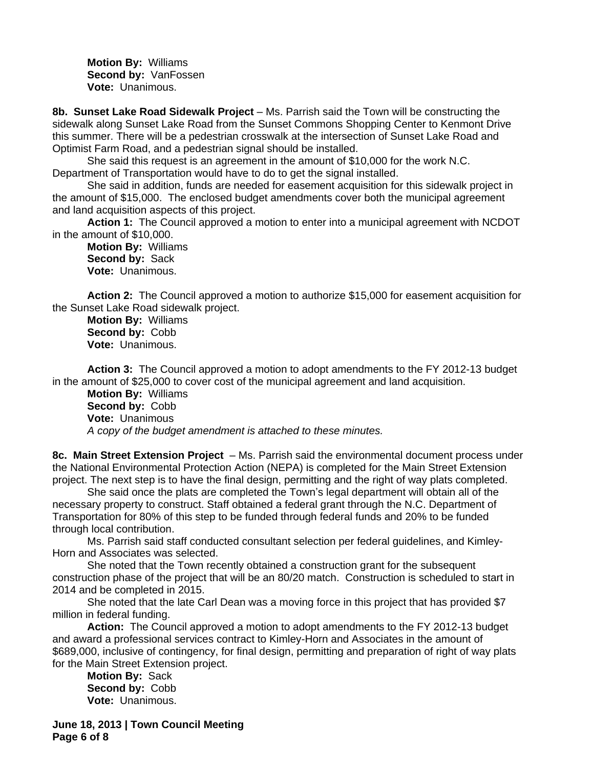**Motion By:** Williams **Second by:** VanFossen **Vote:** Unanimous.

**8b. Sunset Lake Road Sidewalk Project** – Ms. Parrish said the Town will be constructing the sidewalk along Sunset Lake Road from the Sunset Commons Shopping Center to Kenmont Drive this summer. There will be a pedestrian crosswalk at the intersection of Sunset Lake Road and Optimist Farm Road, and a pedestrian signal should be installed.

She said this request is an agreement in the amount of \$10,000 for the work N.C. Department of Transportation would have to do to get the signal installed.

She said in addition, funds are needed for easement acquisition for this sidewalk project in the amount of \$15,000. The enclosed budget amendments cover both the municipal agreement and land acquisition aspects of this project.

**Action 1:** The Council approved a motion to enter into a municipal agreement with NCDOT in the amount of \$10,000.

**Motion By:** Williams **Second by:** Sack **Vote:** Unanimous.

**Action 2:** The Council approved a motion to authorize \$15,000 for easement acquisition for the Sunset Lake Road sidewalk project.

**Motion By:** Williams **Second by:** Cobb **Vote:** Unanimous.

**Action 3:** The Council approved a motion to adopt amendments to the FY 2012-13 budget in the amount of \$25,000 to cover cost of the municipal agreement and land acquisition.

**Motion By:** Williams **Second by:** Cobb **Vote:** Unanimous *A copy of the budget amendment is attached to these minutes.*

**8c. Main Street Extension Project** – Ms. Parrish said the environmental document process under the National Environmental Protection Action (NEPA) is completed for the Main Street Extension project. The next step is to have the final design, permitting and the right of way plats completed.

She said once the plats are completed the Town's legal department will obtain all of the necessary property to construct. Staff obtained a federal grant through the N.C. Department of Transportation for 80% of this step to be funded through federal funds and 20% to be funded through local contribution.

Ms. Parrish said staff conducted consultant selection per federal guidelines, and Kimley-Horn and Associates was selected.

She noted that the Town recently obtained a construction grant for the subsequent construction phase of the project that will be an 80/20 match. Construction is scheduled to start in 2014 and be completed in 2015.

She noted that the late Carl Dean was a moving force in this project that has provided \$7 million in federal funding.

**Action:** The Council approved a motion to adopt amendments to the FY 2012-13 budget and award a professional services contract to Kimley-Horn and Associates in the amount of \$689,000, inclusive of contingency, for final design, permitting and preparation of right of way plats for the Main Street Extension project.

**Motion By:** Sack **Second by:** Cobb **Vote:** Unanimous.

**June 18, 2013 | Town Council Meeting Page 6 of 8**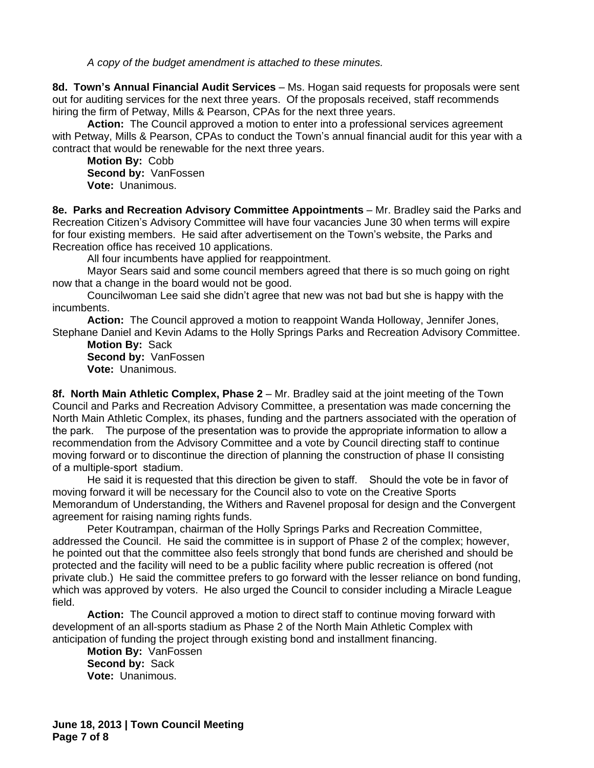*A copy of the budget amendment is attached to these minutes.*

**8d. Town's Annual Financial Audit Services** – Ms. Hogan said requests for proposals were sent out for auditing services for the next three years. Of the proposals received, staff recommends hiring the firm of Petway, Mills & Pearson, CPAs for the next three years.

**Action:** The Council approved a motion to enter into a professional services agreement with Petway, Mills & Pearson, CPAs to conduct the Town's annual financial audit for this year with a contract that would be renewable for the next three years.

**Motion By:** Cobb **Second by:** VanFossen **Vote:** Unanimous.

**8e. Parks and Recreation Advisory Committee Appointments** – Mr. Bradley said the Parks and Recreation Citizen's Advisory Committee will have four vacancies June 30 when terms will expire for four existing members. He said after advertisement on the Town's website, the Parks and Recreation office has received 10 applications.

All four incumbents have applied for reappointment.

Mayor Sears said and some council members agreed that there is so much going on right now that a change in the board would not be good.

Councilwoman Lee said she didn't agree that new was not bad but she is happy with the incumbents.

**Action:** The Council approved a motion to reappoint Wanda Holloway, Jennifer Jones, Stephane Daniel and Kevin Adams to the Holly Springs Parks and Recreation Advisory Committee.

**Motion By:** Sack **Second by:** VanFossen **Vote:** Unanimous.

**8f. North Main Athletic Complex, Phase 2** – Mr. Bradley said at the joint meeting of the Town Council and Parks and Recreation Advisory Committee, a presentation was made concerning the North Main Athletic Complex, its phases, funding and the partners associated with the operation of the park. The purpose of the presentation was to provide the appropriate information to allow a recommendation from the Advisory Committee and a vote by Council directing staff to continue moving forward or to discontinue the direction of planning the construction of phase II consisting of a multiple-sport stadium.

He said it is requested that this direction be given to staff. Should the vote be in favor of moving forward it will be necessary for the Council also to vote on the Creative Sports Memorandum of Understanding, the Withers and Ravenel proposal for design and the Convergent agreement for raising naming rights funds.

Peter Koutrampan, chairman of the Holly Springs Parks and Recreation Committee, addressed the Council. He said the committee is in support of Phase 2 of the complex; however, he pointed out that the committee also feels strongly that bond funds are cherished and should be protected and the facility will need to be a public facility where public recreation is offered (not private club.) He said the committee prefers to go forward with the lesser reliance on bond funding, which was approved by voters. He also urged the Council to consider including a Miracle League field.

**Action:** The Council approved a motion to direct staff to continue moving forward with development of an all-sports stadium as Phase 2 of the North Main Athletic Complex with anticipation of funding the project through existing bond and installment financing.

**Motion By:** VanFossen **Second by:** Sack **Vote:** Unanimous.